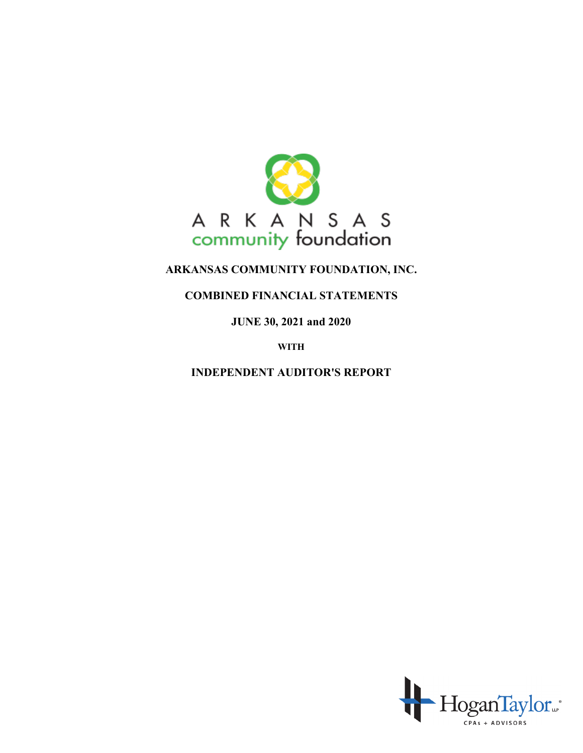

# **COMBINED FINANCIAL STATEMENTS**

**JUNE 30, 2021 and 2020**

**WITH**

**INDEPENDENT AUDITOR'S REPORT**

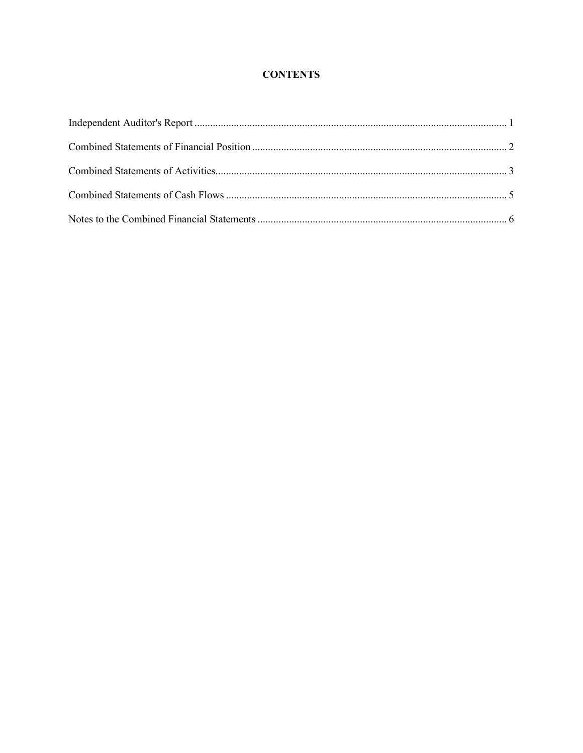# **CONTENTS**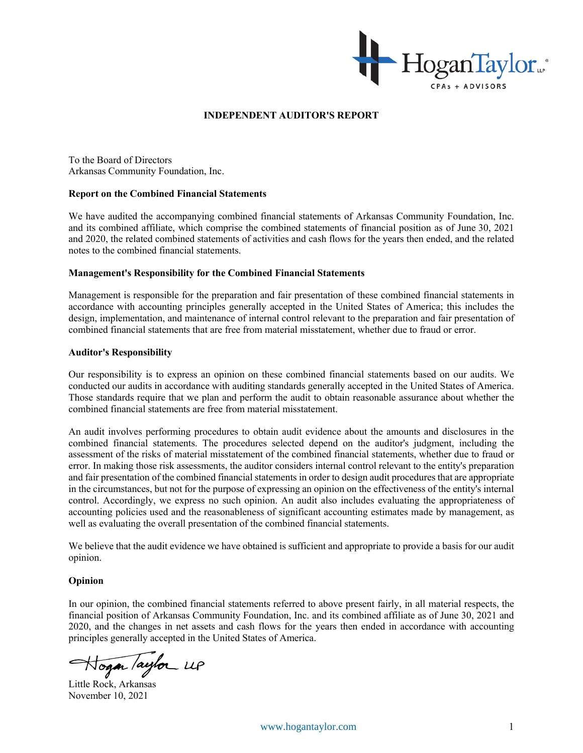

#### **INDEPENDENT AUDITOR'S REPORT**

To the Board of Directors Arkansas Community Foundation, Inc.

#### **Report on the Combined Financial Statements**

We have audited the accompanying combined financial statements of Arkansas Community Foundation, Inc. and its combined affiliate, which comprise the combined statements of financial position as of June 30, 2021 and 2020, the related combined statements of activities and cash flows for the years then ended, and the related notes to the combined financial statements.

#### **Management's Responsibility for the Combined Financial Statements**

Management is responsible for the preparation and fair presentation of these combined financial statements in accordance with accounting principles generally accepted in the United States of America; this includes the design, implementation, and maintenance of internal control relevant to the preparation and fair presentation of combined financial statements that are free from material misstatement, whether due to fraud or error.

#### **Auditor's Responsibility**

Our responsibility is to express an opinion on these combined financial statements based on our audits. We conducted our audits in accordance with auditing standards generally accepted in the United States of America. Those standards require that we plan and perform the audit to obtain reasonable assurance about whether the combined financial statements are free from material misstatement.

An audit involves performing procedures to obtain audit evidence about the amounts and disclosures in the combined financial statements. The procedures selected depend on the auditor's judgment, including the assessment of the risks of material misstatement of the combined financial statements, whether due to fraud or error. In making those risk assessments, the auditor considers internal control relevant to the entity's preparation and fair presentation of the combined financial statements in order to design audit procedures that are appropriate in the circumstances, but not for the purpose of expressing an opinion on the effectiveness of the entity's internal control. Accordingly, we express no such opinion. An audit also includes evaluating the appropriateness of accounting policies used and the reasonableness of significant accounting estimates made by management, as well as evaluating the overall presentation of the combined financial statements.

We believe that the audit evidence we have obtained is sufficient and appropriate to provide a basis for our audit opinion.

#### **Opinion**

In our opinion, the combined financial statements referred to above present fairly, in all material respects, the financial position of Arkansas Community Foundation, Inc. and its combined affiliate as of June 30, 2021 and 2020, and the changes in net assets and cash flows for the years then ended in accordance with accounting principles generally accepted in the United States of America.

Hogan Taylor UP

Little Rock, Arkansas November 10, 2021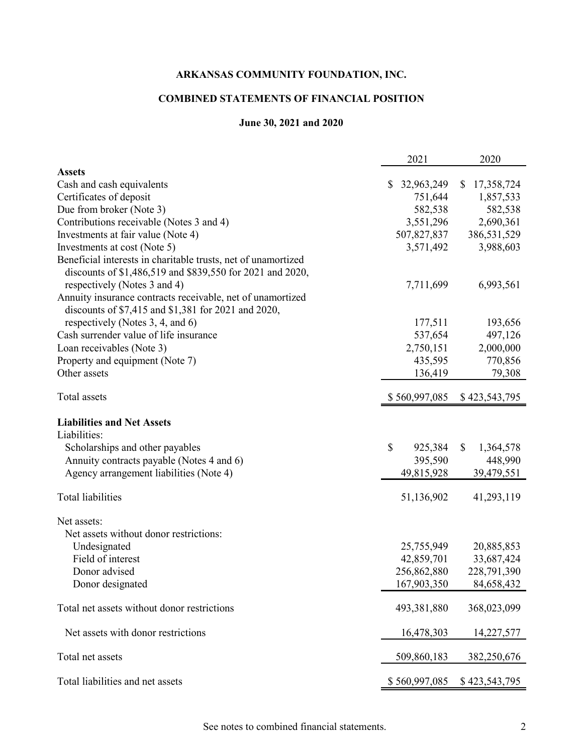# **COMBINED STATEMENTS OF FINANCIAL POSITION**

# **June 30, 2021 and 2020**

|                                                                                                                            | 2021          | 2020            |
|----------------------------------------------------------------------------------------------------------------------------|---------------|-----------------|
| <b>Assets</b>                                                                                                              |               |                 |
| Cash and cash equivalents                                                                                                  | \$32,963,249  | \$17,358,724    |
| Certificates of deposit                                                                                                    | 751,644       | 1,857,533       |
| Due from broker (Note 3)                                                                                                   | 582,538       | 582,538         |
| Contributions receivable (Notes 3 and 4)                                                                                   | 3,551,296     | 2,690,361       |
| Investments at fair value (Note 4)                                                                                         | 507,827,837   | 386,531,529     |
| Investments at cost (Note 5)                                                                                               | 3,571,492     | 3,988,603       |
| Beneficial interests in charitable trusts, net of unamortized<br>discounts of \$1,486,519 and \$839,550 for 2021 and 2020, |               |                 |
| respectively (Notes 3 and 4)                                                                                               | 7,711,699     | 6,993,561       |
| Annuity insurance contracts receivable, net of unamortized<br>discounts of \$7,415 and \$1,381 for 2021 and 2020,          |               |                 |
| respectively (Notes 3, 4, and 6)                                                                                           | 177,511       | 193,656         |
| Cash surrender value of life insurance                                                                                     | 537,654       | 497,126         |
| Loan receivables (Note 3)                                                                                                  | 2,750,151     | 2,000,000       |
| Property and equipment (Note 7)                                                                                            | 435,595       | 770,856         |
| Other assets                                                                                                               | 136,419       | 79,308          |
| Total assets                                                                                                               | \$560,997,085 | \$423,543,795   |
| <b>Liabilities and Net Assets</b>                                                                                          |               |                 |
| Liabilities:                                                                                                               |               |                 |
| Scholarships and other payables                                                                                            | \$<br>925,384 | \$<br>1,364,578 |
| Annuity contracts payable (Notes 4 and 6)                                                                                  | 395,590       | 448,990         |
| Agency arrangement liabilities (Note 4)                                                                                    | 49,815,928    | 39,479,551      |
|                                                                                                                            |               |                 |
| <b>Total liabilities</b>                                                                                                   | 51,136,902    | 41,293,119      |
| Net assets:                                                                                                                |               |                 |
| Net assets without donor restrictions:                                                                                     |               |                 |
| Undesignated                                                                                                               | 25,755,949    | 20,885,853      |
| Field of interest                                                                                                          | 42,859,701    | 33,687,424      |
| Donor advised                                                                                                              | 256,862,880   | 228,791,390     |
| Donor designated                                                                                                           | 167,903,350   | 84,658,432      |
|                                                                                                                            |               |                 |
| Total net assets without donor restrictions                                                                                | 493,381,880   | 368,023,099     |
| Net assets with donor restrictions                                                                                         | 16,478,303    | 14,227,577      |
| Total net assets                                                                                                           | 509,860,183   | 382,250,676     |
| Total liabilities and net assets                                                                                           | \$560,997,085 | \$423,543,795   |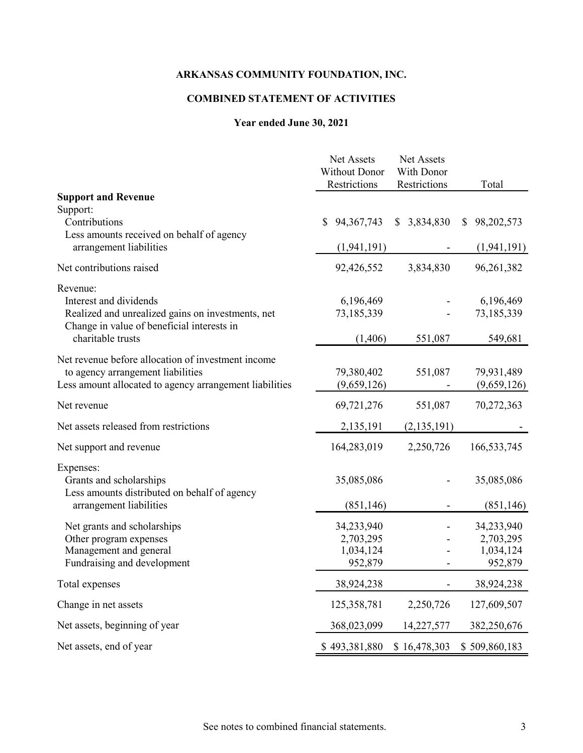# **COMBINED STATEMENT OF ACTIVITIES**

# **Year ended June 30, 2021**

|                                                                                                                                                    | Net Assets<br><b>Without Donor</b><br>Restrictions | Net Assets<br>With Donor<br>Restrictions | Total                                           |
|----------------------------------------------------------------------------------------------------------------------------------------------------|----------------------------------------------------|------------------------------------------|-------------------------------------------------|
| <b>Support and Revenue</b>                                                                                                                         |                                                    |                                          |                                                 |
| Support:<br>Contributions<br>Less amounts received on behalf of agency                                                                             | 94, 367, 743<br>S                                  | 3,834,830<br><sup>S</sup>                | 98,202,573<br>S.                                |
| arrangement liabilities                                                                                                                            | (1, 941, 191)                                      |                                          | (1, 941, 191)                                   |
| Net contributions raised                                                                                                                           | 92,426,552                                         | 3,834,830                                | 96,261,382                                      |
| Revenue:<br>Interest and dividends<br>Realized and unrealized gains on investments, net<br>Change in value of beneficial interests in              | 6,196,469<br>73,185,339                            |                                          | 6,196,469<br>73,185,339                         |
| charitable trusts                                                                                                                                  | (1,406)                                            | 551,087                                  | 549,681                                         |
| Net revenue before allocation of investment income<br>to agency arrangement liabilities<br>Less amount allocated to agency arrangement liabilities | 79,380,402<br>(9,659,126)                          | 551,087                                  | 79,931,489<br>(9,659,126)                       |
| Net revenue                                                                                                                                        | 69,721,276                                         | 551,087                                  | 70,272,363                                      |
| Net assets released from restrictions                                                                                                              | 2,135,191                                          | (2, 135, 191)                            |                                                 |
| Net support and revenue                                                                                                                            | 164,283,019                                        | 2,250,726                                | 166,533,745                                     |
| Expenses:<br>Grants and scholarships<br>Less amounts distributed on behalf of agency                                                               | 35,085,086                                         |                                          | 35,085,086                                      |
| arrangement liabilities                                                                                                                            | (851, 146)                                         |                                          | (851, 146)                                      |
| Net grants and scholarships<br>Other program expenses<br>Management and general<br>Fundraising and development                                     | 34,233,940<br>2,703,295<br>1,034,124<br>952,879    |                                          | 34,233,940<br>2,703,295<br>1,034,124<br>952,879 |
| Total expenses                                                                                                                                     | 38,924,238                                         |                                          | 38,924,238                                      |
| Change in net assets                                                                                                                               | 125,358,781                                        | 2,250,726                                | 127,609,507                                     |
| Net assets, beginning of year                                                                                                                      | 368,023,099                                        | 14,227,577                               | 382,250,676                                     |
| Net assets, end of year                                                                                                                            | \$493,381,880                                      | \$16,478,303                             | \$509,860,183                                   |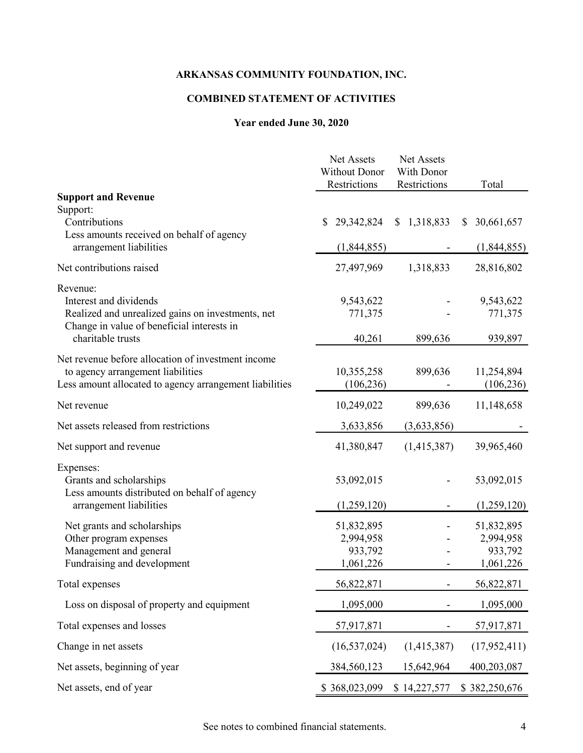# **COMBINED STATEMENT OF ACTIVITIES**

# **Year ended June 30, 2020**

|                                                                                                                                                            | Net Assets<br><b>Without Donor</b><br>Restrictions | Net Assets<br>With Donor<br>Restrictions | Total                              |
|------------------------------------------------------------------------------------------------------------------------------------------------------------|----------------------------------------------------|------------------------------------------|------------------------------------|
| <b>Support and Revenue</b>                                                                                                                                 |                                                    |                                          |                                    |
| Support:<br>Contributions<br>Less amounts received on behalf of agency                                                                                     | 29,342,824<br>S                                    | \$1,318,833                              | 30,661,657<br><sup>S</sup>         |
| arrangement liabilities                                                                                                                                    | (1,844,855)                                        |                                          | (1,844,855)                        |
| Net contributions raised                                                                                                                                   | 27,497,969                                         | 1,318,833                                | 28,816,802                         |
| Revenue:<br>Interest and dividends<br>Realized and unrealized gains on investments, net<br>Change in value of beneficial interests in<br>charitable trusts | 9,543,622<br>771,375<br>40,261                     | 899,636                                  | 9,543,622<br>771,375<br>939,897    |
| Net revenue before allocation of investment income<br>to agency arrangement liabilities<br>Less amount allocated to agency arrangement liabilities         | 10,355,258<br>(106, 236)                           | 899,636                                  | 11,254,894<br>(106, 236)           |
| Net revenue                                                                                                                                                | 10,249,022                                         | 899,636                                  | 11,148,658                         |
| Net assets released from restrictions                                                                                                                      | 3,633,856                                          | (3,633,856)                              |                                    |
| Net support and revenue                                                                                                                                    | 41,380,847                                         | (1,415,387)                              | 39,965,460                         |
| Expenses:<br>Grants and scholarships<br>Less amounts distributed on behalf of agency                                                                       | 53,092,015                                         |                                          | 53,092,015                         |
| arrangement liabilities                                                                                                                                    | (1,259,120)                                        |                                          | (1,259,120)                        |
| Net grants and scholarships<br>Other program expenses<br>Management and general                                                                            | 51,832,895<br>2,994,958<br>933,792                 |                                          | 51,832,895<br>2,994,958<br>933,792 |
| Fundraising and development                                                                                                                                | 1,061,226                                          |                                          | 1,061,226                          |
| Total expenses                                                                                                                                             | 56,822,871                                         |                                          | 56,822,871                         |
| Loss on disposal of property and equipment                                                                                                                 | 1,095,000                                          |                                          | 1,095,000                          |
| Total expenses and losses                                                                                                                                  | 57,917,871                                         |                                          | 57,917,871                         |
| Change in net assets                                                                                                                                       | (16, 537, 024)                                     | (1,415,387)                              | (17,952,411)                       |
| Net assets, beginning of year                                                                                                                              | 384,560,123                                        | 15,642,964                               | 400,203,087                        |
| Net assets, end of year                                                                                                                                    | \$368,023,099                                      | \$14,227,577                             | \$382,250,676                      |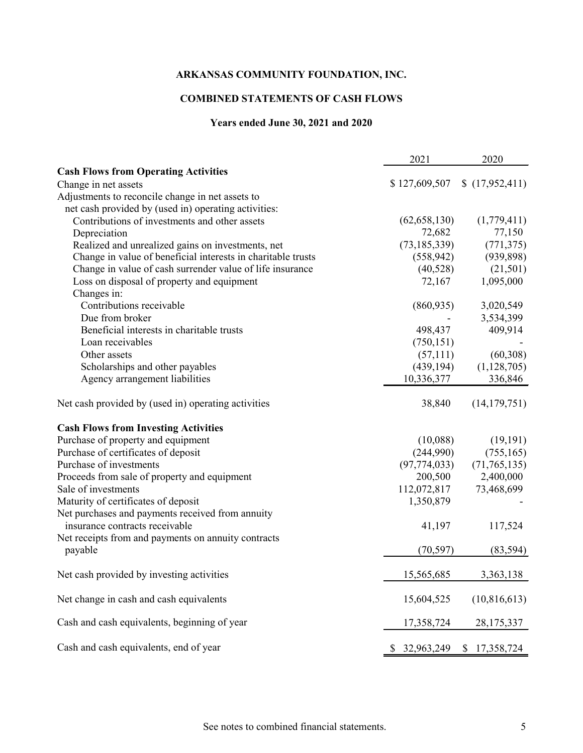# **COMBINED STATEMENTS OF CASH FLOWS**

# **Years ended June 30, 2021 and 2020**

|                                                              | 2021           | 2020             |
|--------------------------------------------------------------|----------------|------------------|
| <b>Cash Flows from Operating Activities</b>                  |                |                  |
| Change in net assets                                         | \$127,609,507  | (17,952,411)     |
| Adjustments to reconcile change in net assets to             |                |                  |
| net cash provided by (used in) operating activities:         |                |                  |
| Contributions of investments and other assets                | (62, 658, 130) | (1,779,411)      |
| Depreciation                                                 | 72,682         | 77,150           |
| Realized and unrealized gains on investments, net            | (73, 185, 339) | (771, 375)       |
| Change in value of beneficial interests in charitable trusts | (558, 942)     | (939, 898)       |
| Change in value of cash surrender value of life insurance    | (40,528)       | (21,501)         |
| Loss on disposal of property and equipment                   | 72,167         | 1,095,000        |
| Changes in:                                                  |                |                  |
| Contributions receivable                                     | (860, 935)     | 3,020,549        |
| Due from broker                                              |                | 3,534,399        |
| Beneficial interests in charitable trusts                    | 498,437        | 409,914          |
| Loan receivables                                             | (750, 151)     |                  |
| Other assets                                                 | (57,111)       | (60, 308)        |
| Scholarships and other payables                              | (439, 194)     | (1,128,705)      |
| Agency arrangement liabilities                               | 10,336,377     | 336,846          |
| Net cash provided by (used in) operating activities          | 38,840         | (14, 179, 751)   |
| <b>Cash Flows from Investing Activities</b>                  |                |                  |
| Purchase of property and equipment                           | (10,088)       | (19, 191)        |
| Purchase of certificates of deposit                          | (244,990)      | (755, 165)       |
| Purchase of investments                                      | (97, 774, 033) | (71, 765, 135)   |
| Proceeds from sale of property and equipment                 | 200,500        | 2,400,000        |
| Sale of investments                                          | 112,072,817    | 73,468,699       |
| Maturity of certificates of deposit                          | 1,350,879      |                  |
| Net purchases and payments received from annuity             |                |                  |
| insurance contracts receivable                               | 41,197         | 117,524          |
| Net receipts from and payments on annuity contracts          |                |                  |
| payable                                                      | (70, 597)      | (83, 594)        |
| Net cash provided by investing activities                    | 15,565,685     | 3,363,138        |
| Net change in cash and cash equivalents                      | 15,604,525     | (10, 816, 613)   |
| Cash and cash equivalents, beginning of year                 | 17,358,724     | 28,175,337       |
| Cash and cash equivalents, end of year                       | 32,963,249     | \$<br>17,358,724 |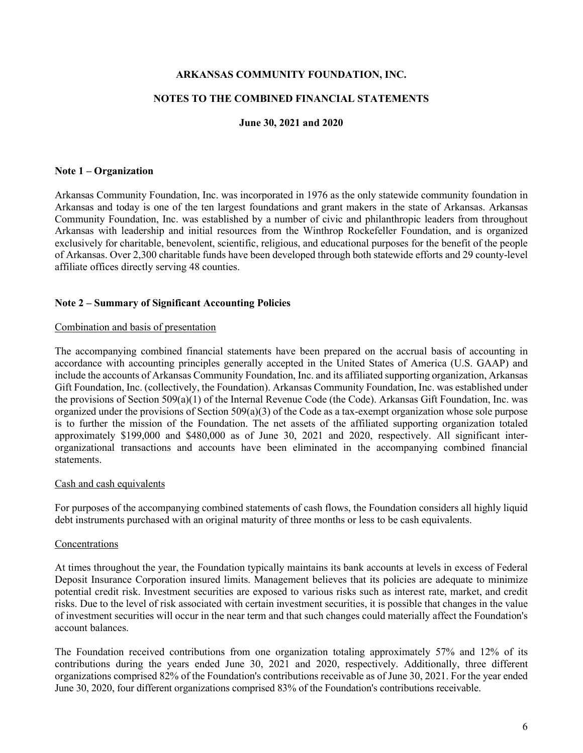#### **NOTES TO THE COMBINED FINANCIAL STATEMENTS**

### **June 30, 2021 and 2020**

#### **Note 1 – Organization**

Arkansas Community Foundation, Inc. was incorporated in 1976 as the only statewide community foundation in Arkansas and today is one of the ten largest foundations and grant makers in the state of Arkansas. Arkansas Community Foundation, Inc. was established by a number of civic and philanthropic leaders from throughout Arkansas with leadership and initial resources from the Winthrop Rockefeller Foundation, and is organized exclusively for charitable, benevolent, scientific, religious, and educational purposes for the benefit of the people of Arkansas. Over 2,300 charitable funds have been developed through both statewide efforts and 29 county-level affiliate offices directly serving 48 counties.

#### **Note 2 – Summary of Significant Accounting Policies**

#### Combination and basis of presentation

The accompanying combined financial statements have been prepared on the accrual basis of accounting in accordance with accounting principles generally accepted in the United States of America (U.S. GAAP) and include the accounts of Arkansas Community Foundation, Inc. and its affiliated supporting organization, Arkansas Gift Foundation, Inc. (collectively, the Foundation). Arkansas Community Foundation, Inc. was established under the provisions of Section 509(a)(1) of the Internal Revenue Code (the Code). Arkansas Gift Foundation, Inc. was organized under the provisions of Section 509(a)(3) of the Code as a tax-exempt organization whose sole purpose is to further the mission of the Foundation. The net assets of the affiliated supporting organization totaled approximately \$199,000 and \$480,000 as of June 30, 2021 and 2020, respectively. All significant interorganizational transactions and accounts have been eliminated in the accompanying combined financial statements.

#### Cash and cash equivalents

For purposes of the accompanying combined statements of cash flows, the Foundation considers all highly liquid debt instruments purchased with an original maturity of three months or less to be cash equivalents.

#### Concentrations

At times throughout the year, the Foundation typically maintains its bank accounts at levels in excess of Federal Deposit Insurance Corporation insured limits. Management believes that its policies are adequate to minimize potential credit risk. Investment securities are exposed to various risks such as interest rate, market, and credit risks. Due to the level of risk associated with certain investment securities, it is possible that changes in the value of investment securities will occur in the near term and that such changes could materially affect the Foundation's account balances.

The Foundation received contributions from one organization totaling approximately 57% and 12% of its contributions during the years ended June 30, 2021 and 2020, respectively. Additionally, three different organizations comprised 82% of the Foundation's contributions receivable as of June 30, 2021. For the year ended June 30, 2020, four different organizations comprised 83% of the Foundation's contributions receivable.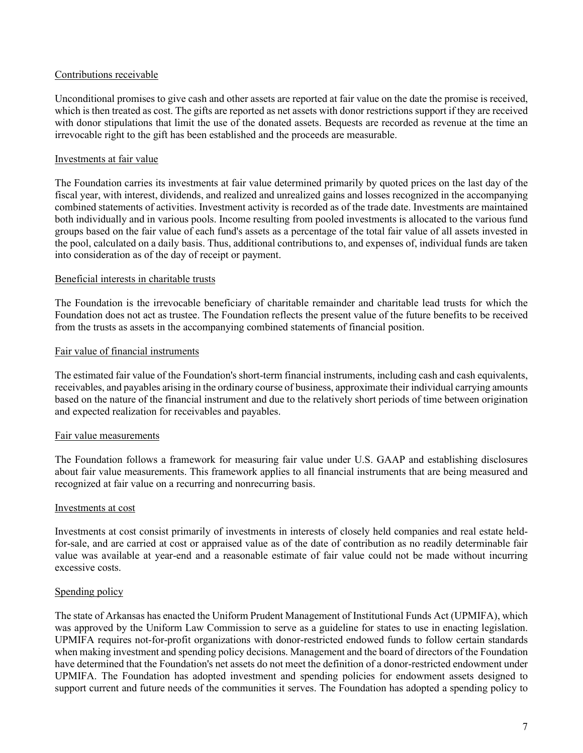## Contributions receivable

Unconditional promises to give cash and other assets are reported at fair value on the date the promise is received, which is then treated as cost. The gifts are reported as net assets with donor restrictions support if they are received with donor stipulations that limit the use of the donated assets. Bequests are recorded as revenue at the time an irrevocable right to the gift has been established and the proceeds are measurable.

## Investments at fair value

The Foundation carries its investments at fair value determined primarily by quoted prices on the last day of the fiscal year, with interest, dividends, and realized and unrealized gains and losses recognized in the accompanying combined statements of activities. Investment activity is recorded as of the trade date. Investments are maintained both individually and in various pools. Income resulting from pooled investments is allocated to the various fund groups based on the fair value of each fund's assets as a percentage of the total fair value of all assets invested in the pool, calculated on a daily basis. Thus, additional contributions to, and expenses of, individual funds are taken into consideration as of the day of receipt or payment.

## Beneficial interests in charitable trusts

The Foundation is the irrevocable beneficiary of charitable remainder and charitable lead trusts for which the Foundation does not act as trustee. The Foundation reflects the present value of the future benefits to be received from the trusts as assets in the accompanying combined statements of financial position.

## Fair value of financial instruments

The estimated fair value of the Foundation's short-term financial instruments, including cash and cash equivalents, receivables, and payables arising in the ordinary course of business, approximate their individual carrying amounts based on the nature of the financial instrument and due to the relatively short periods of time between origination and expected realization for receivables and payables.

## Fair value measurements

The Foundation follows a framework for measuring fair value under U.S. GAAP and establishing disclosures about fair value measurements. This framework applies to all financial instruments that are being measured and recognized at fair value on a recurring and nonrecurring basis.

## Investments at cost

Investments at cost consist primarily of investments in interests of closely held companies and real estate heldfor-sale, and are carried at cost or appraised value as of the date of contribution as no readily determinable fair value was available at year-end and a reasonable estimate of fair value could not be made without incurring excessive costs.

## Spending policy

The state of Arkansas has enacted the Uniform Prudent Management of Institutional Funds Act (UPMIFA), which was approved by the Uniform Law Commission to serve as a guideline for states to use in enacting legislation. UPMIFA requires not-for-profit organizations with donor-restricted endowed funds to follow certain standards when making investment and spending policy decisions. Management and the board of directors of the Foundation have determined that the Foundation's net assets do not meet the definition of a donor-restricted endowment under UPMIFA. The Foundation has adopted investment and spending policies for endowment assets designed to support current and future needs of the communities it serves. The Foundation has adopted a spending policy to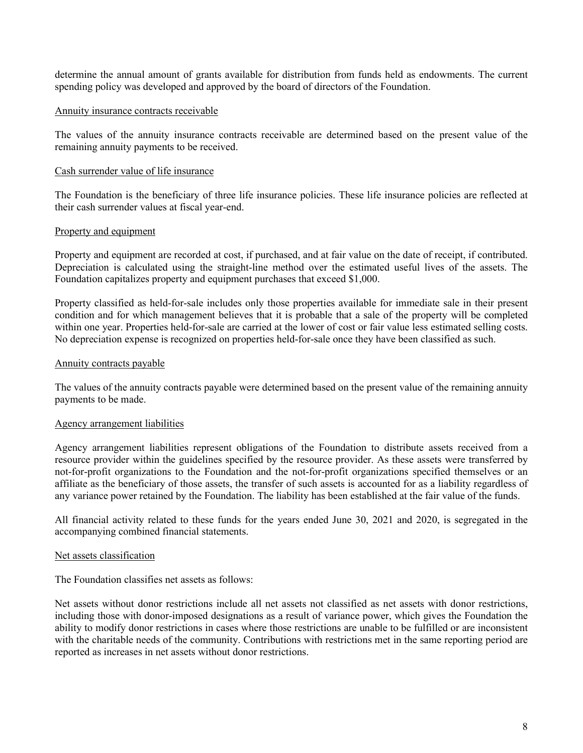determine the annual amount of grants available for distribution from funds held as endowments. The current spending policy was developed and approved by the board of directors of the Foundation.

#### Annuity insurance contracts receivable

The values of the annuity insurance contracts receivable are determined based on the present value of the remaining annuity payments to be received.

### Cash surrender value of life insurance

The Foundation is the beneficiary of three life insurance policies. These life insurance policies are reflected at their cash surrender values at fiscal year-end.

#### Property and equipment

Property and equipment are recorded at cost, if purchased, and at fair value on the date of receipt, if contributed. Depreciation is calculated using the straight-line method over the estimated useful lives of the assets. The Foundation capitalizes property and equipment purchases that exceed \$1,000.

Property classified as held-for-sale includes only those properties available for immediate sale in their present condition and for which management believes that it is probable that a sale of the property will be completed within one year. Properties held-for-sale are carried at the lower of cost or fair value less estimated selling costs. No depreciation expense is recognized on properties held-for-sale once they have been classified as such.

#### Annuity contracts payable

The values of the annuity contracts payable were determined based on the present value of the remaining annuity payments to be made.

#### Agency arrangement liabilities

Agency arrangement liabilities represent obligations of the Foundation to distribute assets received from a resource provider within the guidelines specified by the resource provider. As these assets were transferred by not-for-profit organizations to the Foundation and the not-for-profit organizations specified themselves or an affiliate as the beneficiary of those assets, the transfer of such assets is accounted for as a liability regardless of any variance power retained by the Foundation. The liability has been established at the fair value of the funds.

All financial activity related to these funds for the years ended June 30, 2021 and 2020, is segregated in the accompanying combined financial statements.

#### Net assets classification

The Foundation classifies net assets as follows:

Net assets without donor restrictions include all net assets not classified as net assets with donor restrictions, including those with donor-imposed designations as a result of variance power, which gives the Foundation the ability to modify donor restrictions in cases where those restrictions are unable to be fulfilled or are inconsistent with the charitable needs of the community. Contributions with restrictions met in the same reporting period are reported as increases in net assets without donor restrictions.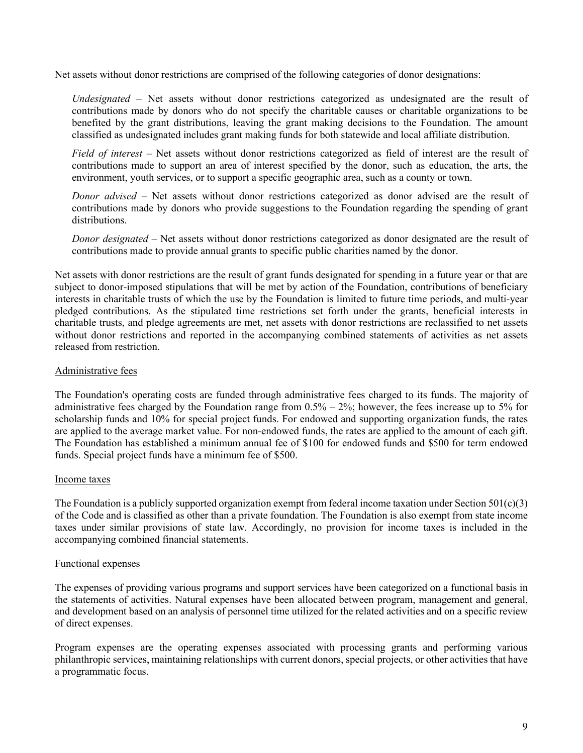Net assets without donor restrictions are comprised of the following categories of donor designations:

*Undesignated* – Net assets without donor restrictions categorized as undesignated are the result of contributions made by donors who do not specify the charitable causes or charitable organizations to be benefited by the grant distributions, leaving the grant making decisions to the Foundation. The amount classified as undesignated includes grant making funds for both statewide and local affiliate distribution.

*Field of interest* – Net assets without donor restrictions categorized as field of interest are the result of contributions made to support an area of interest specified by the donor, such as education, the arts, the environment, youth services, or to support a specific geographic area, such as a county or town.

*Donor advised* – Net assets without donor restrictions categorized as donor advised are the result of contributions made by donors who provide suggestions to the Foundation regarding the spending of grant distributions.

*Donor designated* – Net assets without donor restrictions categorized as donor designated are the result of contributions made to provide annual grants to specific public charities named by the donor.

Net assets with donor restrictions are the result of grant funds designated for spending in a future year or that are subject to donor-imposed stipulations that will be met by action of the Foundation, contributions of beneficiary interests in charitable trusts of which the use by the Foundation is limited to future time periods, and multi-year pledged contributions. As the stipulated time restrictions set forth under the grants, beneficial interests in charitable trusts, and pledge agreements are met, net assets with donor restrictions are reclassified to net assets without donor restrictions and reported in the accompanying combined statements of activities as net assets released from restriction.

## Administrative fees

The Foundation's operating costs are funded through administrative fees charged to its funds. The majority of administrative fees charged by the Foundation range from  $0.5\% - 2\%$ ; however, the fees increase up to 5% for scholarship funds and 10% for special project funds. For endowed and supporting organization funds, the rates are applied to the average market value. For non-endowed funds, the rates are applied to the amount of each gift. The Foundation has established a minimum annual fee of \$100 for endowed funds and \$500 for term endowed funds. Special project funds have a minimum fee of \$500.

## Income taxes

The Foundation is a publicly supported organization exempt from federal income taxation under Section  $501(c)(3)$ of the Code and is classified as other than a private foundation. The Foundation is also exempt from state income taxes under similar provisions of state law. Accordingly, no provision for income taxes is included in the accompanying combined financial statements.

## Functional expenses

The expenses of providing various programs and support services have been categorized on a functional basis in the statements of activities. Natural expenses have been allocated between program, management and general, and development based on an analysis of personnel time utilized for the related activities and on a specific review of direct expenses.

Program expenses are the operating expenses associated with processing grants and performing various philanthropic services, maintaining relationships with current donors, special projects, or other activities that have a programmatic focus.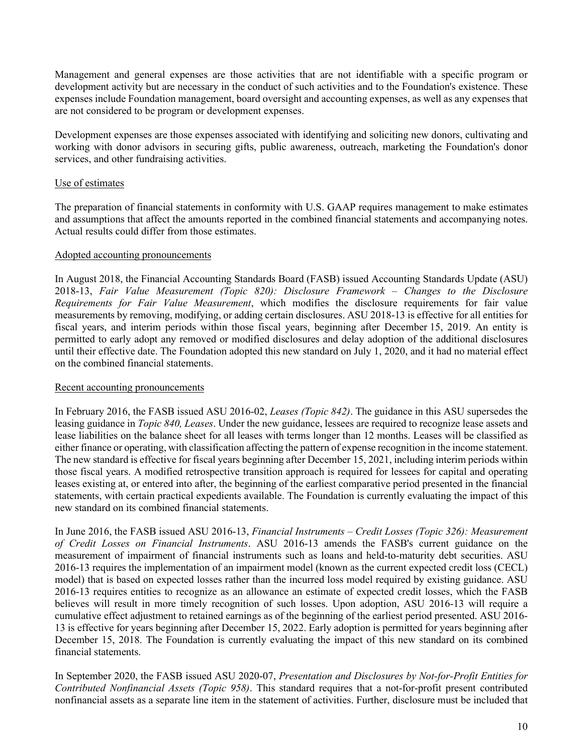Management and general expenses are those activities that are not identifiable with a specific program or development activity but are necessary in the conduct of such activities and to the Foundation's existence. These expenses include Foundation management, board oversight and accounting expenses, as well as any expenses that are not considered to be program or development expenses.

Development expenses are those expenses associated with identifying and soliciting new donors, cultivating and working with donor advisors in securing gifts, public awareness, outreach, marketing the Foundation's donor services, and other fundraising activities.

## Use of estimates

The preparation of financial statements in conformity with U.S. GAAP requires management to make estimates and assumptions that affect the amounts reported in the combined financial statements and accompanying notes. Actual results could differ from those estimates.

## Adopted accounting pronouncements

In August 2018, the Financial Accounting Standards Board (FASB) issued Accounting Standards Update (ASU) 2018-13, *Fair Value Measurement (Topic 820): Disclosure Framework – Changes to the Disclosure Requirements for Fair Value Measurement*, which modifies the disclosure requirements for fair value measurements by removing, modifying, or adding certain disclosures. ASU 2018-13 is effective for all entities for fiscal years, and interim periods within those fiscal years, beginning after December 15, 2019. An entity is permitted to early adopt any removed or modified disclosures and delay adoption of the additional disclosures until their effective date. The Foundation adopted this new standard on July 1, 2020, and it had no material effect on the combined financial statements.

## Recent accounting pronouncements

In February 2016, the FASB issued ASU 2016-02, *Leases (Topic 842)*. The guidance in this ASU supersedes the leasing guidance in *Topic 840, Leases*. Under the new guidance, lessees are required to recognize lease assets and lease liabilities on the balance sheet for all leases with terms longer than 12 months. Leases will be classified as either finance or operating, with classification affecting the pattern of expense recognition in the income statement. The new standard is effective for fiscal years beginning after December 15, 2021, including interim periods within those fiscal years. A modified retrospective transition approach is required for lessees for capital and operating leases existing at, or entered into after, the beginning of the earliest comparative period presented in the financial statements, with certain practical expedients available. The Foundation is currently evaluating the impact of this new standard on its combined financial statements.

In June 2016, the FASB issued ASU 2016-13, *Financial Instruments – Credit Losses (Topic 326): Measurement of Credit Losses on Financial Instruments*. ASU 2016-13 amends the FASB's current guidance on the measurement of impairment of financial instruments such as loans and held-to-maturity debt securities. ASU 2016-13 requires the implementation of an impairment model (known as the current expected credit loss (CECL) model) that is based on expected losses rather than the incurred loss model required by existing guidance. ASU 2016-13 requires entities to recognize as an allowance an estimate of expected credit losses, which the FASB believes will result in more timely recognition of such losses. Upon adoption, ASU 2016-13 will require a cumulative effect adjustment to retained earnings as of the beginning of the earliest period presented. ASU 2016- 13 is effective for years beginning after December 15, 2022. Early adoption is permitted for years beginning after December 15, 2018. The Foundation is currently evaluating the impact of this new standard on its combined financial statements.

In September 2020, the FASB issued ASU 2020-07, *Presentation and Disclosures by Not-for-Profit Entities for Contributed Nonfinancial Assets (Topic 958)*. This standard requires that a not-for-profit present contributed nonfinancial assets as a separate line item in the statement of activities. Further, disclosure must be included that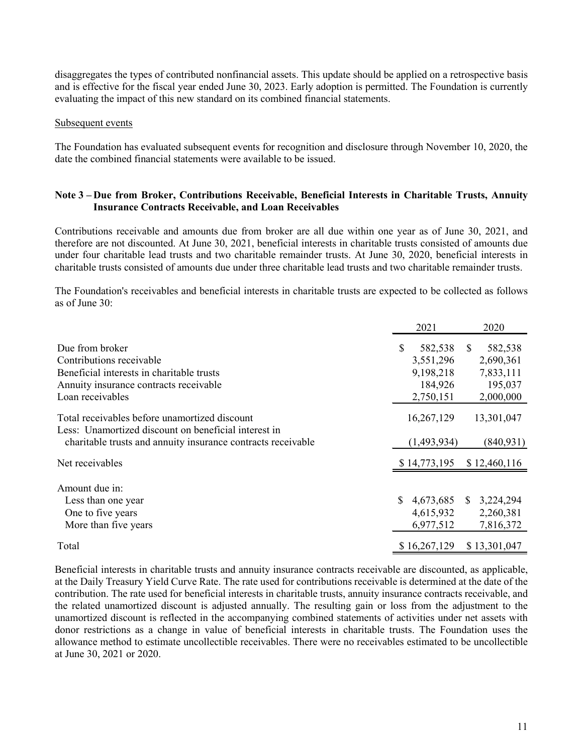disaggregates the types of contributed nonfinancial assets. This update should be applied on a retrospective basis and is effective for the fiscal year ended June 30, 2023. Early adoption is permitted. The Foundation is currently evaluating the impact of this new standard on its combined financial statements.

### Subsequent events

The Foundation has evaluated subsequent events for recognition and disclosure through November 10, 2020, the date the combined financial statements were available to be issued.

## **Note 3 – Due from Broker, Contributions Receivable, Beneficial Interests in Charitable Trusts, Annuity Insurance Contracts Receivable, and Loan Receivables**

Contributions receivable and amounts due from broker are all due within one year as of June 30, 2021, and therefore are not discounted. At June 30, 2021, beneficial interests in charitable trusts consisted of amounts due under four charitable lead trusts and two charitable remainder trusts. At June 30, 2020, beneficial interests in charitable trusts consisted of amounts due under three charitable lead trusts and two charitable remainder trusts.

The Foundation's receivables and beneficial interests in charitable trusts are expected to be collected as follows as of June 30:

|                                                                                                       | 2021            |    | 2020         |
|-------------------------------------------------------------------------------------------------------|-----------------|----|--------------|
| Due from broker                                                                                       | \$<br>582,538   | S. | 582,538      |
| Contributions receivable                                                                              | 3,551,296       |    | 2,690,361    |
| Beneficial interests in charitable trusts                                                             | 9,198,218       |    | 7,833,111    |
| Annuity insurance contracts receivable                                                                | 184,926         |    | 195,037      |
| Loan receivables                                                                                      | 2,750,151       |    | 2,000,000    |
| Total receivables before unamortized discount<br>Less: Unamortized discount on beneficial interest in | 16,267,129      |    | 13,301,047   |
| charitable trusts and annuity insurance contracts receivable                                          | (1,493,934)     |    | (840, 931)   |
| Net receivables                                                                                       | \$14,773,195    |    | \$12,460,116 |
| Amount due in:                                                                                        |                 |    |              |
| Less than one year                                                                                    | \$<br>4,673,685 | S. | 3,224,294    |
| One to five years                                                                                     | 4,615,932       |    | 2,260,381    |
| More than five years                                                                                  | 6,977,512       |    | 7,816,372    |
| Total                                                                                                 | \$16,267,129    |    | \$13,301,047 |

Beneficial interests in charitable trusts and annuity insurance contracts receivable are discounted, as applicable, at the Daily Treasury Yield Curve Rate. The rate used for contributions receivable is determined at the date of the contribution. The rate used for beneficial interests in charitable trusts, annuity insurance contracts receivable, and the related unamortized discount is adjusted annually. The resulting gain or loss from the adjustment to the unamortized discount is reflected in the accompanying combined statements of activities under net assets with donor restrictions as a change in value of beneficial interests in charitable trusts. The Foundation uses the allowance method to estimate uncollectible receivables. There were no receivables estimated to be uncollectible at June 30, 2021 or 2020.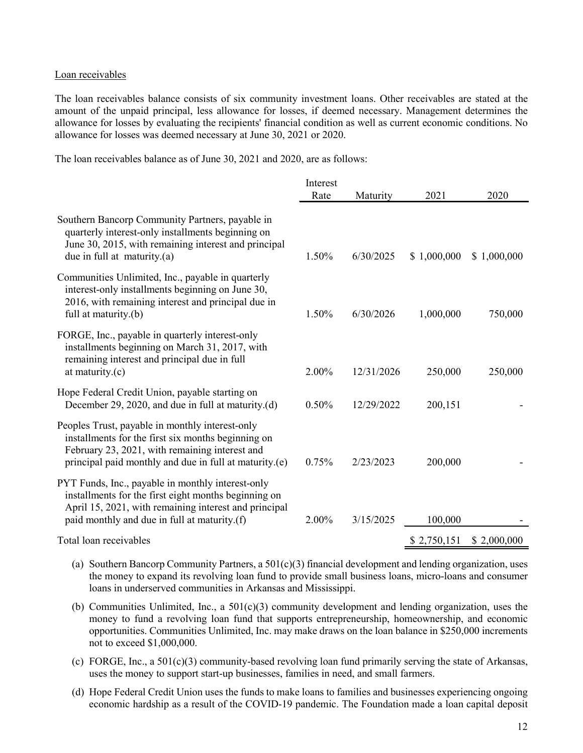#### Loan receivables

The loan receivables balance consists of six community investment loans. Other receivables are stated at the amount of the unpaid principal, less allowance for losses, if deemed necessary. Management determines the allowance for losses by evaluating the recipients' financial condition as well as current economic conditions. No allowance for losses was deemed necessary at June 30, 2021 or 2020.

The loan receivables balance as of June 30, 2021 and 2020, are as follows:

|                                                                                                                                                                                                                    | Interest |            |             |             |
|--------------------------------------------------------------------------------------------------------------------------------------------------------------------------------------------------------------------|----------|------------|-------------|-------------|
|                                                                                                                                                                                                                    | Rate     | Maturity   | 2021        | 2020        |
| Southern Bancorp Community Partners, payable in<br>quarterly interest-only installments beginning on<br>June 30, 2015, with remaining interest and principal<br>due in full at maturity.(a)                        | 1.50%    | 6/30/2025  | \$1,000,000 | \$1,000,000 |
| Communities Unlimited, Inc., payable in quarterly<br>interest-only installments beginning on June 30,<br>2016, with remaining interest and principal due in<br>full at maturity.(b)                                | 1.50%    | 6/30/2026  | 1,000,000   | 750,000     |
| FORGE, Inc., payable in quarterly interest-only<br>installments beginning on March 31, 2017, with<br>remaining interest and principal due in full<br>at maturity.(c)                                               | 2.00%    | 12/31/2026 | 250,000     | 250,000     |
| Hope Federal Credit Union, payable starting on<br>December 29, 2020, and due in full at maturity.(d)                                                                                                               | 0.50%    | 12/29/2022 | 200,151     |             |
| Peoples Trust, payable in monthly interest-only<br>installments for the first six months beginning on<br>February 23, 2021, with remaining interest and<br>principal paid monthly and due in full at maturity.(e)  | 0.75%    | 2/23/2023  | 200,000     |             |
| PYT Funds, Inc., payable in monthly interest-only<br>installments for the first eight months beginning on<br>April 15, 2021, with remaining interest and principal<br>paid monthly and due in full at maturity.(f) | 2.00%    | 3/15/2025  | 100,000     |             |
| Total loan receivables                                                                                                                                                                                             |          |            | \$2,750,151 | \$2,000,000 |

- (a) Southern Bancorp Community Partners, a 501(c)(3) financial development and lending organization, uses the money to expand its revolving loan fund to provide small business loans, micro-loans and consumer loans in underserved communities in Arkansas and Mississippi.
- (b) Communities Unlimited, Inc., a 501(c)(3) community development and lending organization, uses the money to fund a revolving loan fund that supports entrepreneurship, homeownership, and economic opportunities. Communities Unlimited, Inc. may make draws on the loan balance in \$250,000 increments not to exceed \$1,000,000.
- (c) FORGE, Inc., a 501(c)(3) community-based revolving loan fund primarily serving the state of Arkansas, uses the money to support start-up businesses, families in need, and small farmers.
- (d) Hope Federal Credit Union uses the funds to make loans to families and businesses experiencing ongoing economic hardship as a result of the COVID-19 pandemic. The Foundation made a loan capital deposit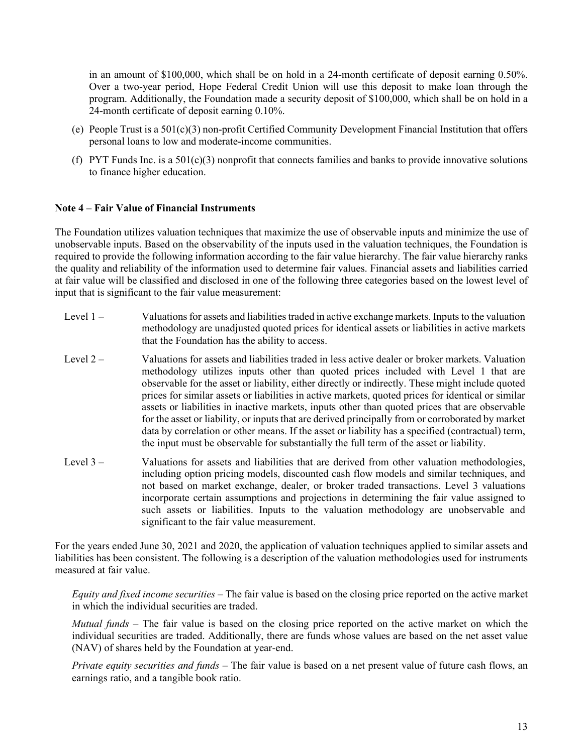in an amount of \$100,000, which shall be on hold in a 24-month certificate of deposit earning 0.50%. Over a two-year period, Hope Federal Credit Union will use this deposit to make loan through the program. Additionally, the Foundation made a security deposit of \$100,000, which shall be on hold in a 24-month certificate of deposit earning 0.10%.

- (e) People Trust is a 501(c)(3) non-profit Certified Community Development Financial Institution that offers personal loans to low and moderate-income communities.
- (f) PYT Funds Inc. is a  $501(c)(3)$  nonprofit that connects families and banks to provide innovative solutions to finance higher education.

#### **Note 4 – Fair Value of Financial Instruments**

The Foundation utilizes valuation techniques that maximize the use of observable inputs and minimize the use of unobservable inputs. Based on the observability of the inputs used in the valuation techniques, the Foundation is required to provide the following information according to the fair value hierarchy. The fair value hierarchy ranks the quality and reliability of the information used to determine fair values. Financial assets and liabilities carried at fair value will be classified and disclosed in one of the following three categories based on the lowest level of input that is significant to the fair value measurement:

- Level 1 Valuations for assets and liabilities traded in active exchange markets. Inputs to the valuation methodology are unadjusted quoted prices for identical assets or liabilities in active markets that the Foundation has the ability to access.
- Level 2 Valuations for assets and liabilities traded in less active dealer or broker markets. Valuation methodology utilizes inputs other than quoted prices included with Level 1 that are observable for the asset or liability, either directly or indirectly. These might include quoted prices for similar assets or liabilities in active markets, quoted prices for identical or similar assets or liabilities in inactive markets, inputs other than quoted prices that are observable for the asset or liability, or inputs that are derived principally from or corroborated by market data by correlation or other means. If the asset or liability has a specified (contractual) term, the input must be observable for substantially the full term of the asset or liability.
- Level 3 Valuations for assets and liabilities that are derived from other valuation methodologies, including option pricing models, discounted cash flow models and similar techniques, and not based on market exchange, dealer, or broker traded transactions. Level 3 valuations incorporate certain assumptions and projections in determining the fair value assigned to such assets or liabilities. Inputs to the valuation methodology are unobservable and significant to the fair value measurement.

For the years ended June 30, 2021 and 2020, the application of valuation techniques applied to similar assets and liabilities has been consistent. The following is a description of the valuation methodologies used for instruments measured at fair value.

*Equity and fixed income securities* – The fair value is based on the closing price reported on the active market in which the individual securities are traded.

*Mutual funds* – The fair value is based on the closing price reported on the active market on which the individual securities are traded. Additionally, there are funds whose values are based on the net asset value (NAV) of shares held by the Foundation at year-end.

*Private equity securities and funds* – The fair value is based on a net present value of future cash flows, an earnings ratio, and a tangible book ratio.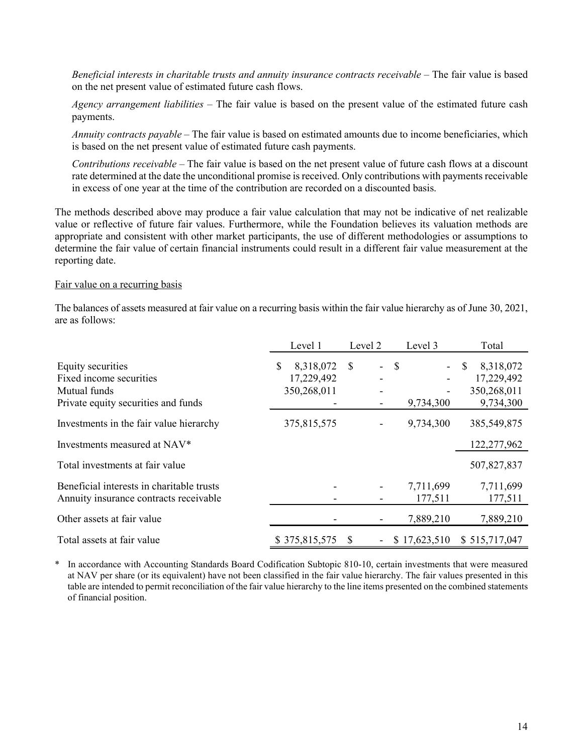*Beneficial interests in charitable trusts and annuity insurance contracts receivable* – The fair value is based on the net present value of estimated future cash flows.

*Agency arrangement liabilities* – The fair value is based on the present value of the estimated future cash payments.

*Annuity contracts payable* – The fair value is based on estimated amounts due to income beneficiaries, which is based on the net present value of estimated future cash payments.

*Contributions receivable* – The fair value is based on the net present value of future cash flows at a discount rate determined at the date the unconditional promise is received. Only contributions with payments receivable in excess of one year at the time of the contribution are recorded on a discounted basis.

The methods described above may produce a fair value calculation that may not be indicative of net realizable value or reflective of future fair values. Furthermore, while the Foundation believes its valuation methods are appropriate and consistent with other market participants, the use of different methodologies or assumptions to determine the fair value of certain financial instruments could result in a different fair value measurement at the reporting date.

#### Fair value on a recurring basis

The balances of assets measured at fair value on a recurring basis within the fair value hierarchy as of June 30, 2021, are as follows:

|                                                                                                     | Level 1                                      | Level 2                                                               | Level 3                    | Total                                                                |
|-----------------------------------------------------------------------------------------------------|----------------------------------------------|-----------------------------------------------------------------------|----------------------------|----------------------------------------------------------------------|
| Equity securities<br>Fixed income securities<br>Mutual funds<br>Private equity securities and funds | \$<br>8,318,072<br>17,229,492<br>350,268,011 | <sup>\$</sup><br>$\blacksquare$<br>۰<br>$\overline{\phantom{a}}$<br>- | $\mathcal{S}$<br>9,734,300 | 8,318,072<br><sup>\$</sup><br>17,229,492<br>350,268,011<br>9,734,300 |
| Investments in the fair value hierarchy                                                             | 375,815,575                                  |                                                                       | 9,734,300                  | 385,549,875                                                          |
| Investments measured at NAV*                                                                        |                                              |                                                                       |                            | 122,277,962                                                          |
| Total investments at fair value                                                                     |                                              |                                                                       |                            | 507,827,837                                                          |
| Beneficial interests in charitable trusts<br>Annuity insurance contracts receivable                 |                                              | -                                                                     | 7,711,699<br>177,511       | 7,711,699<br>177,511                                                 |
| Other assets at fair value                                                                          |                                              |                                                                       | 7,889,210                  | 7,889,210                                                            |
| Total assets at fair value                                                                          | \$375,815,575                                | -S<br>$\overline{\phantom{a}}$                                        | \$17,623,510               | \$515,717,047                                                        |

In accordance with Accounting Standards Board Codification Subtopic 810-10, certain investments that were measured at NAV per share (or its equivalent) have not been classified in the fair value hierarchy. The fair values presented in this table are intended to permit reconciliation of the fair value hierarchy to the line items presented on the combined statements of financial position.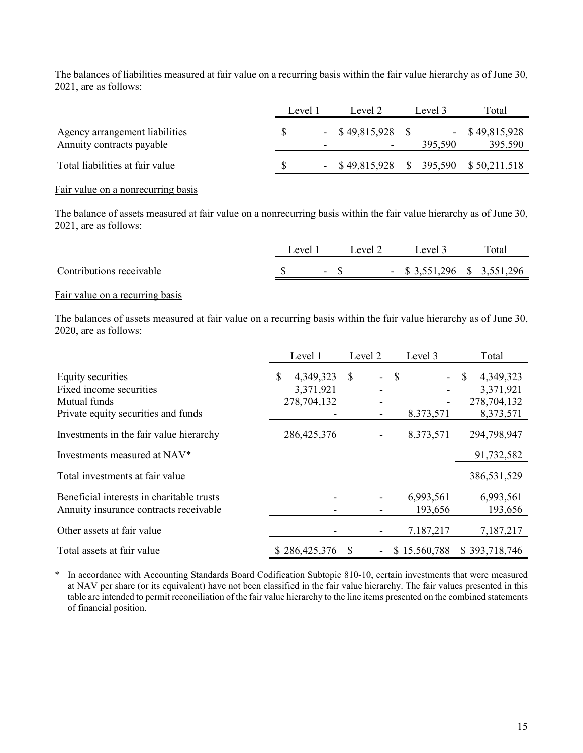The balances of liabilities measured at fair value on a recurring basis within the fair value hierarchy as of June 30, 2021, are as follows:

|                                                             | Level 1                  | Level 2                                         | Level 3 | Total                       |
|-------------------------------------------------------------|--------------------------|-------------------------------------------------|---------|-----------------------------|
| Agency arrangement liabilities<br>Annuity contracts payable | $\overline{\phantom{0}}$ | $-$ \$49,815,928 \$<br>$\overline{\phantom{0}}$ | 395,590 | $-$ \$49,815,928<br>395,590 |
| Total liabilities at fair value                             |                          | $-$ \$49,815,928 \$395,590 \$50,211,518         |         |                             |

#### Fair value on a nonrecurring basis

The balance of assets measured at fair value on a nonrecurring basis within the fair value hierarchy as of June 30, 2021, are as follows:

|                          | evel 1 | Level 2 | Level 3                       | Total |
|--------------------------|--------|---------|-------------------------------|-------|
| Contributions receivable |        |         | $-$ \$ 3,551,296 \$ 3,551,296 |       |

#### Fair value on a recurring basis

The balances of assets measured at fair value on a recurring basis within the fair value hierarchy as of June 30, 2020, are as follows:

|                                                                                                     | Level 1                                     | Level 2                         | Level 3                   | Total                                                    |
|-----------------------------------------------------------------------------------------------------|---------------------------------------------|---------------------------------|---------------------------|----------------------------------------------------------|
| Equity securities<br>Fixed income securities<br>Mutual funds<br>Private equity securities and funds | \$<br>4,349,323<br>3,371,921<br>278,704,132 | <sup>\$</sup><br>$\blacksquare$ | $\mathbf{s}$<br>8,373,571 | 4,349,323<br>\$<br>3,371,921<br>278,704,132<br>8,373,571 |
| Investments in the fair value hierarchy                                                             | 286, 425, 376                               |                                 | 8,373,571                 | 294,798,947                                              |
| Investments measured at NAV*                                                                        |                                             |                                 |                           | 91,732,582                                               |
| Total investments at fair value                                                                     |                                             |                                 |                           | 386,531,529                                              |
| Beneficial interests in charitable trusts<br>Annuity insurance contracts receivable                 |                                             |                                 | 6,993,561<br>193,656      | 6,993,561<br>193,656                                     |
| Other assets at fair value                                                                          |                                             |                                 | 7,187,217                 | 7,187,217                                                |
| Total assets at fair value                                                                          | \$286,425,376                               | \$<br>$\overline{\phantom{a}}$  | \$15,560,788              | \$393,718,746                                            |

\* In accordance with Accounting Standards Board Codification Subtopic 810-10, certain investments that were measured at NAV per share (or its equivalent) have not been classified in the fair value hierarchy. The fair values presented in this table are intended to permit reconciliation of the fair value hierarchy to the line items presented on the combined statements of financial position.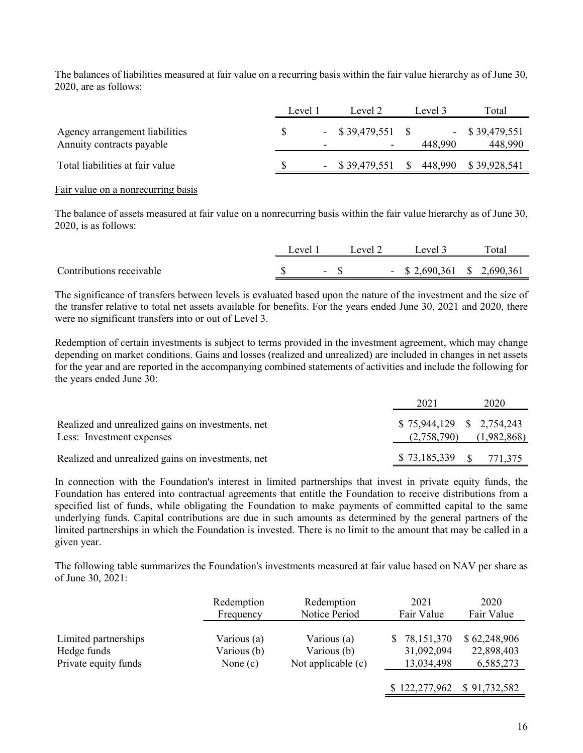The balances of liabilities measured at fair value on a recurring basis within the fair value hierarchy as of June 30, 2020, are as follows:

|                                                             | Level 1                  | Level 2             | Level 3 | Total                        |
|-------------------------------------------------------------|--------------------------|---------------------|---------|------------------------------|
| Agency arrangement liabilities<br>Annuity contracts payable | $\overline{\phantom{0}}$ | $-$ \$39,479,551 \$ | 448.990 | $-$ \$ 39,479,551<br>448,990 |
| Total liabilities at fair value                             |                          | $-$ \$39,479,551 \$ |         | 448,990 \$39,928,541         |

#### Fair value on a nonrecurring basis

The balance of assets measured at fair value on a nonrecurring basis within the fair value hierarchy as of June 30, 2020, is as follows:

|                          | evel |        | revel 2 | Level 3                       | Total |
|--------------------------|------|--------|---------|-------------------------------|-------|
| Contributions receivable |      | $\sim$ |         | $-$ \$ 2,690,361 \$ 2,690,361 |       |

The significance of transfers between levels is evaluated based upon the nature of the investment and the size of the transfer relative to total net assets available for benefits. For the years ended June 30, 2021 and 2020, there were no significant transfers into or out of Level 3.

Redemption of certain investments is subject to terms provided in the investment agreement, which may change depending on market conditions. Gains and losses (realized and unrealized) are included in changes in net assets for the year and are reported in the accompanying combined statements of activities and include the following for the years ended June 30:

|                                                                                | 2021                                      | 2020        |
|--------------------------------------------------------------------------------|-------------------------------------------|-------------|
| Realized and unrealized gains on investments, net<br>Less: Investment expenses | $$75,944,129$ $$2,754,243$<br>(2,758,790) | (1,982,868) |
| Realized and unrealized gains on investments, net                              | \$73,185,339 \$771,375                    |             |

In connection with the Foundation's interest in limited partnerships that invest in private equity funds, the Foundation has entered into contractual agreements that entitle the Foundation to receive distributions from a specified list of funds, while obligating the Foundation to make payments of committed capital to the same underlying funds. Capital contributions are due in such amounts as determined by the general partners of the limited partnerships in which the Foundation is invested. There is no limit to the amount that may be called in a given year.

The following table summarizes the Foundation's investments measured at fair value based on NAV per share as of June 30, 2021:

|                      | Redemption  | Redemption         | 2021                       | 2020         |
|----------------------|-------------|--------------------|----------------------------|--------------|
|                      | Frequency   | Notice Period      | Fair Value                 | Fair Value   |
| Limited partnerships | Various (a) | Various (a)        | \$78,151,370               | \$62,248,906 |
| Hedge funds          | Various (b) | Various (b)        | 31,092,094                 | 22,898,403   |
| Private equity funds | None $(c)$  | Not applicable (c) | 13,034,498                 | 6,585,273    |
|                      |             |                    | \$122,277,962 \$91,732,582 |              |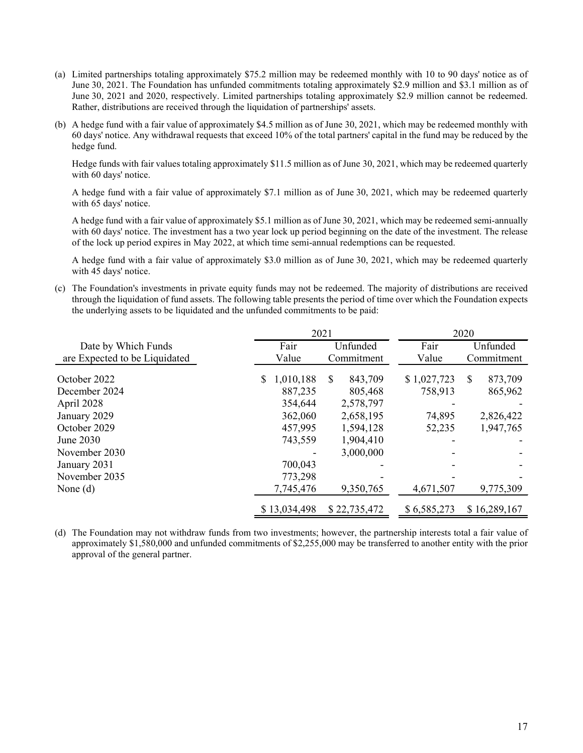- (a) Limited partnerships totaling approximately \$75.2 million may be redeemed monthly with 10 to 90 days' notice as of June 30, 2021. The Foundation has unfunded commitments totaling approximately \$2.9 million and \$3.1 million as of June 30, 2021 and 2020, respectively. Limited partnerships totaling approximately \$2.9 million cannot be redeemed. Rather, distributions are received through the liquidation of partnerships' assets.
- (b) A hedge fund with a fair value of approximately \$4.5 million as of June 30, 2021, which may be redeemed monthly with 60 days' notice. Any withdrawal requests that exceed 10% of the total partners' capital in the fund may be reduced by the hedge fund.

Hedge funds with fair values totaling approximately \$11.5 million as of June 30, 2021, which may be redeemed quarterly with 60 days' notice.

A hedge fund with a fair value of approximately \$7.1 million as of June 30, 2021, which may be redeemed quarterly with 65 days' notice.

A hedge fund with a fair value of approximately \$5.1 million as of June 30, 2021, which may be redeemed semi-annually with 60 days' notice. The investment has a two year lock up period beginning on the date of the investment. The release of the lock up period expires in May 2022, at which time semi-annual redemptions can be requested.

A hedge fund with a fair value of approximately \$3.0 million as of June 30, 2021, which may be redeemed quarterly with 45 days' notice.

(c) The Foundation's investments in private equity funds may not be redeemed. The majority of distributions are received through the liquidation of fund assets. The following table presents the period of time over which the Foundation expects the underlying assets to be liquidated and the unfunded commitments to be paid:

|                               |                            | 2021                                | 2020                   |                         |  |
|-------------------------------|----------------------------|-------------------------------------|------------------------|-------------------------|--|
| Date by Which Funds           | Fair<br>Unfunded           |                                     | Fair                   | Unfunded                |  |
| are Expected to be Liquidated | Value                      | Commitment                          | Value                  | Commitment              |  |
| October 2022<br>December 2024 | 1,010,188<br>S.<br>887,235 | 843,709<br><sup>\$</sup><br>805,468 | \$1,027,723<br>758,913 | S<br>873,709<br>865,962 |  |
| April 2028                    | 354,644                    | 2,578,797                           |                        |                         |  |
| January 2029                  | 362,060                    | 2,658,195                           | 74,895                 | 2,826,422               |  |
| October 2029                  | 457,995                    | 1,594,128                           | 52,235                 | 1,947,765               |  |
| June 2030                     | 743,559                    | 1,904,410                           |                        |                         |  |
| November 2030                 |                            | 3,000,000                           |                        |                         |  |
| January 2031                  | 700,043                    |                                     |                        |                         |  |
| November 2035                 | 773,298                    |                                     |                        |                         |  |
| None $(d)$                    | 7,745,476                  | 9,350,765                           | 4,671,507              | 9,775,309               |  |
|                               | \$13,034,498               | \$22,735,472                        | \$6,585,273            | \$16,289,167            |  |

(d) The Foundation may not withdraw funds from two investments; however, the partnership interests total a fair value of approximately \$1,580,000 and unfunded commitments of \$2,255,000 may be transferred to another entity with the prior approval of the general partner.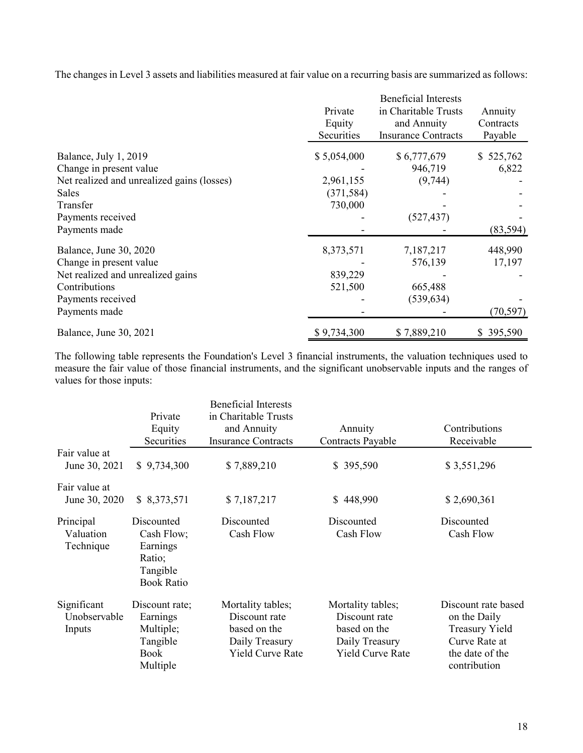The changes in Level 3 assets and liabilities measured at fair value on a recurring basis are summarized as follows:

|                                            |             | <b>Beneficial Interests</b> |           |
|--------------------------------------------|-------------|-----------------------------|-----------|
|                                            | Private     | in Charitable Trusts        | Annuity   |
|                                            | Equity      | and Annuity                 | Contracts |
|                                            | Securities  | <b>Insurance Contracts</b>  | Payable   |
| Balance, July 1, 2019                      | \$5,054,000 | \$6,777,679                 | \$525,762 |
| Change in present value                    |             | 946,719                     | 6,822     |
| Net realized and unrealized gains (losses) | 2,961,155   | (9,744)                     |           |
| Sales                                      | (371, 584)  |                             |           |
| Transfer                                   | 730,000     |                             |           |
| Payments received                          |             | (527, 437)                  |           |
| Payments made                              |             |                             | (83, 594) |
| Balance, June 30, 2020                     | 8,373,571   | 7,187,217                   | 448,990   |
| Change in present value                    |             | 576,139                     | 17,197    |
| Net realized and unrealized gains          | 839,229     |                             |           |
| Contributions                              | 521,500     | 665,488                     |           |
| Payments received                          |             | (539, 634)                  |           |
| Payments made                              |             |                             | (70, 597) |
| Balance, June 30, 2021                     | \$9,734,300 | \$7,889,210                 | \$395,590 |

The following table represents the Foundation's Level 3 financial instruments, the valuation techniques used to measure the fair value of those financial instruments, and the significant unobservable inputs and the ranges of values for those inputs:

|                                       | Private<br>Equity<br>Securities                                                 | <b>Beneficial Interests</b><br>in Charitable Trusts<br>and Annuity<br><b>Insurance Contracts</b> | Annuity<br>Contracts Payable                                                                    | Contributions<br>Receivable                                                                                      |
|---------------------------------------|---------------------------------------------------------------------------------|--------------------------------------------------------------------------------------------------|-------------------------------------------------------------------------------------------------|------------------------------------------------------------------------------------------------------------------|
| Fair value at<br>June 30, 2021        | \$9,734,300                                                                     | \$7,889,210                                                                                      | \$395,590                                                                                       | \$3,551,296                                                                                                      |
| Fair value at<br>June 30, 2020        | \$8,373,571                                                                     | \$7,187,217                                                                                      | \$448,990                                                                                       | \$2,690,361                                                                                                      |
| Principal<br>Valuation<br>Technique   | Discounted<br>Cash Flow;<br>Earnings<br>Ratio;<br>Tangible<br><b>Book Ratio</b> | Discounted<br>Cash Flow                                                                          | Discounted<br>Cash Flow                                                                         | Discounted<br>Cash Flow                                                                                          |
| Significant<br>Unobservable<br>Inputs | Discount rate;<br>Earnings<br>Multiple;<br>Tangible<br><b>Book</b><br>Multiple  | Mortality tables;<br>Discount rate<br>based on the<br>Daily Treasury<br>Yield Curve Rate         | Mortality tables;<br>Discount rate<br>based on the<br>Daily Treasury<br><b>Yield Curve Rate</b> | Discount rate based<br>on the Daily<br><b>Treasury Yield</b><br>Curve Rate at<br>the date of the<br>contribution |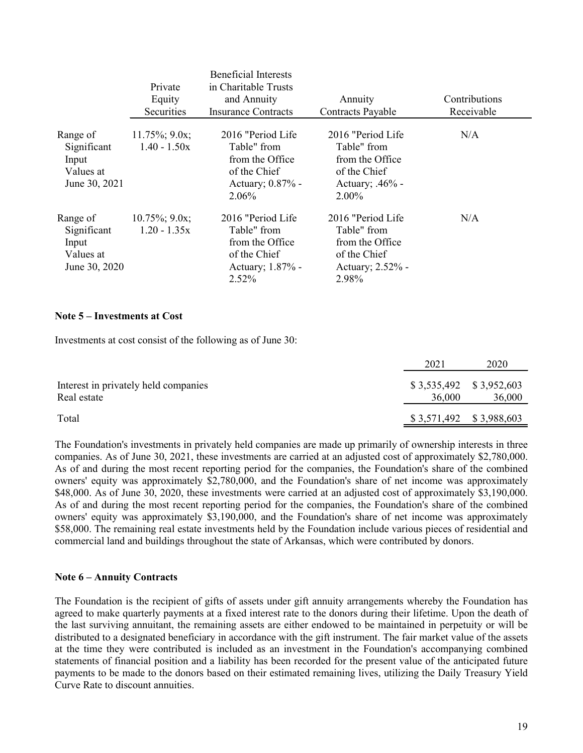|                                                                | Private<br>Equity<br>Securities     | <b>Beneficial Interests</b><br>in Charitable Trusts<br>and Annuity<br>Insurance Contracts         | Annuity<br>Contracts Payable                                                                      | Contributions<br>Receivable |
|----------------------------------------------------------------|-------------------------------------|---------------------------------------------------------------------------------------------------|---------------------------------------------------------------------------------------------------|-----------------------------|
| Range of<br>Significant<br>Input<br>Values at<br>June 30, 2021 | $11.75\%$ ; 9.0x;<br>$1.40 - 1.50x$ | 2016 "Period Life"<br>Table" from<br>from the Office<br>of the Chief<br>Actuary; 0.87% -<br>2.06% | 2016 "Period Life"<br>Table" from<br>from the Office<br>of the Chief<br>Actuary; .46% -<br>2.00%  | N/A                         |
| Range of<br>Significant<br>Input<br>Values at<br>June 30, 2020 | $10.75\%$ ; 9.0x;<br>$1.20 - 1.35x$ | 2016 "Period Life"<br>Table" from<br>from the Office<br>of the Chief<br>Actuary; 1.87% -<br>2.52% | 2016 "Period Life"<br>Table" from<br>from the Office<br>of the Chief<br>Actuary; 2.52% -<br>2.98% | N/A                         |

#### **Note 5 – Investments at Cost**

Investments at cost consist of the following as of June 30:

|                                                     | 2021                                | 2020   |
|-----------------------------------------------------|-------------------------------------|--------|
| Interest in privately held companies<br>Real estate | $$3,535,492$ $$3,952,603$<br>36,000 | 36,000 |
| Total                                               | $$3,571,492$ $$3,988,603$           |        |

The Foundation's investments in privately held companies are made up primarily of ownership interests in three companies. As of June 30, 2021, these investments are carried at an adjusted cost of approximately \$2,780,000. As of and during the most recent reporting period for the companies, the Foundation's share of the combined owners' equity was approximately \$2,780,000, and the Foundation's share of net income was approximately \$48,000. As of June 30, 2020, these investments were carried at an adjusted cost of approximately \$3,190,000. As of and during the most recent reporting period for the companies, the Foundation's share of the combined owners' equity was approximately \$3,190,000, and the Foundation's share of net income was approximately \$58,000. The remaining real estate investments held by the Foundation include various pieces of residential and commercial land and buildings throughout the state of Arkansas, which were contributed by donors.

## **Note 6 – Annuity Contracts**

The Foundation is the recipient of gifts of assets under gift annuity arrangements whereby the Foundation has agreed to make quarterly payments at a fixed interest rate to the donors during their lifetime. Upon the death of the last surviving annuitant, the remaining assets are either endowed to be maintained in perpetuity or will be distributed to a designated beneficiary in accordance with the gift instrument. The fair market value of the assets at the time they were contributed is included as an investment in the Foundation's accompanying combined statements of financial position and a liability has been recorded for the present value of the anticipated future payments to be made to the donors based on their estimated remaining lives, utilizing the Daily Treasury Yield Curve Rate to discount annuities.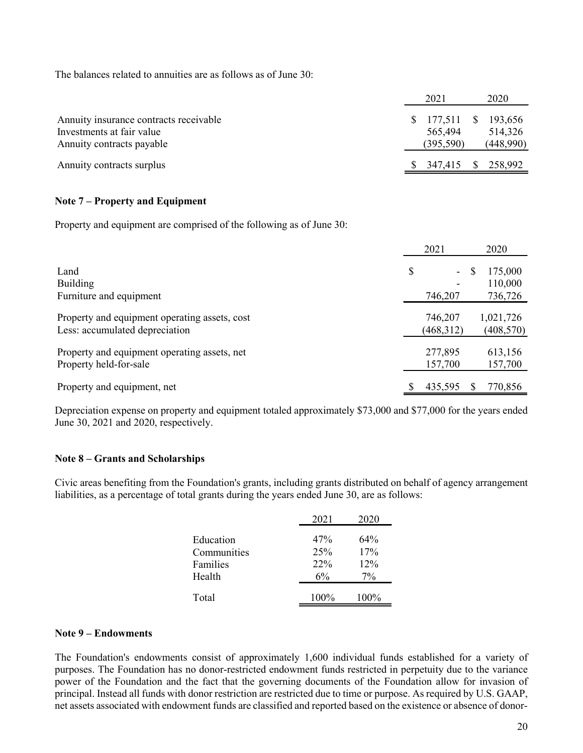The balances related to annuities are as follows as of June 30:

|                                                                                                  | 2021 |                                  |              | 2020                            |
|--------------------------------------------------------------------------------------------------|------|----------------------------------|--------------|---------------------------------|
| Annuity insurance contracts receivable<br>Investments at fair value<br>Annuity contracts payable | S.   | 177,511<br>565,494<br>(395, 590) | \$           | 193,656<br>514,326<br>(448,990) |
| Annuity contracts surplus                                                                        |      | 347,415                          | $\mathbb{S}$ | 258,992                         |

## **Note 7 – Property and Equipment**

Property and equipment are comprised of the following as of June 30:

|                                                                                 | 2021                    |   | 2020                          |
|---------------------------------------------------------------------------------|-------------------------|---|-------------------------------|
| Land<br><b>Building</b><br>Furniture and equipment                              | \$<br>$\sim$<br>746,207 | S | 175,000<br>110,000<br>736,726 |
| Property and equipment operating assets, cost<br>Less: accumulated depreciation | 746,207<br>(468,312)    |   | 1,021,726<br>(408, 570)       |
| Property and equipment operating assets, net<br>Property held-for-sale          | 277,895<br>157,700      |   | 613,156<br>157,700            |
| Property and equipment, net                                                     | \$<br>435,595           | S | 770,856                       |

Depreciation expense on property and equipment totaled approximately \$73,000 and \$77,000 for the years ended June 30, 2021 and 2020, respectively.

## **Note 8 – Grants and Scholarships**

Civic areas benefiting from the Foundation's grants, including grants distributed on behalf of agency arrangement liabilities, as a percentage of total grants during the years ended June 30, are as follows:

|                         | 2021       | 2020       |
|-------------------------|------------|------------|
| Education               | 47%        | 64%        |
| Communities<br>Families | 25%<br>22% | 17%<br>12% |
| Health                  | 6%         | $7\%$      |
| Total                   | 100%       | 100%       |

## **Note 9 – Endowments**

The Foundation's endowments consist of approximately 1,600 individual funds established for a variety of purposes. The Foundation has no donor-restricted endowment funds restricted in perpetuity due to the variance power of the Foundation and the fact that the governing documents of the Foundation allow for invasion of principal. Instead all funds with donor restriction are restricted due to time or purpose. As required by U.S. GAAP, net assets associated with endowment funds are classified and reported based on the existence or absence of donor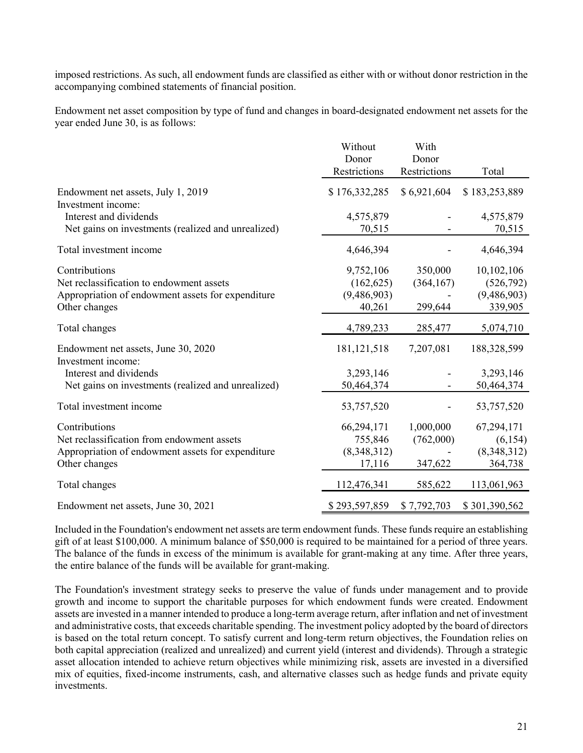imposed restrictions. As such, all endowment funds are classified as either with or without donor restriction in the accompanying combined statements of financial position.

Endowment net asset composition by type of fund and changes in board-designated endowment net assets for the year ended June 30, is as follows:

|                                                           | Without       | With         |               |
|-----------------------------------------------------------|---------------|--------------|---------------|
|                                                           | Donor         | Donor        |               |
|                                                           | Restrictions  | Restrictions | Total         |
| Endowment net assets, July 1, 2019<br>Investment income:  | \$176,332,285 | \$6,921,604  | \$183,253,889 |
| Interest and dividends                                    | 4,575,879     |              | 4,575,879     |
| Net gains on investments (realized and unrealized)        | 70,515        |              | 70,515        |
| Total investment income                                   | 4,646,394     |              | 4,646,394     |
| Contributions                                             | 9,752,106     | 350,000      | 10,102,106    |
| Net reclassification to endowment assets                  | (162, 625)    | (364, 167)   | (526, 792)    |
| Appropriation of endowment assets for expenditure         | (9,486,903)   |              | (9,486,903)   |
| Other changes                                             | 40,261        | 299,644      | 339,905       |
| Total changes                                             | 4,789,233     | 285,477      | 5,074,710     |
| Endowment net assets, June 30, 2020<br>Investment income: | 181, 121, 518 | 7,207,081    | 188,328,599   |
| Interest and dividends                                    | 3,293,146     |              | 3,293,146     |
| Net gains on investments (realized and unrealized)        | 50,464,374    |              | 50,464,374    |
| Total investment income                                   | 53,757,520    |              | 53,757,520    |
| Contributions                                             | 66,294,171    | 1,000,000    | 67,294,171    |
| Net reclassification from endowment assets                | 755,846       | (762,000)    | (6,154)       |
| Appropriation of endowment assets for expenditure         | (8,348,312)   |              | (8,348,312)   |
| Other changes                                             | 17,116        | 347,622      | 364,738       |
| Total changes                                             | 112,476,341   | 585,622      | 113,061,963   |
| Endowment net assets, June 30, 2021                       | \$293,597,859 | \$7,792,703  | \$301,390,562 |

Included in the Foundation's endowment net assets are term endowment funds. These funds require an establishing gift of at least \$100,000. A minimum balance of \$50,000 is required to be maintained for a period of three years. The balance of the funds in excess of the minimum is available for grant-making at any time. After three years, the entire balance of the funds will be available for grant-making.

The Foundation's investment strategy seeks to preserve the value of funds under management and to provide growth and income to support the charitable purposes for which endowment funds were created. Endowment assets are invested in a manner intended to produce a long-term average return, after inflation and net of investment and administrative costs, that exceeds charitable spending. The investment policy adopted by the board of directors is based on the total return concept. To satisfy current and long-term return objectives, the Foundation relies on both capital appreciation (realized and unrealized) and current yield (interest and dividends). Through a strategic asset allocation intended to achieve return objectives while minimizing risk, assets are invested in a diversified mix of equities, fixed-income instruments, cash, and alternative classes such as hedge funds and private equity investments.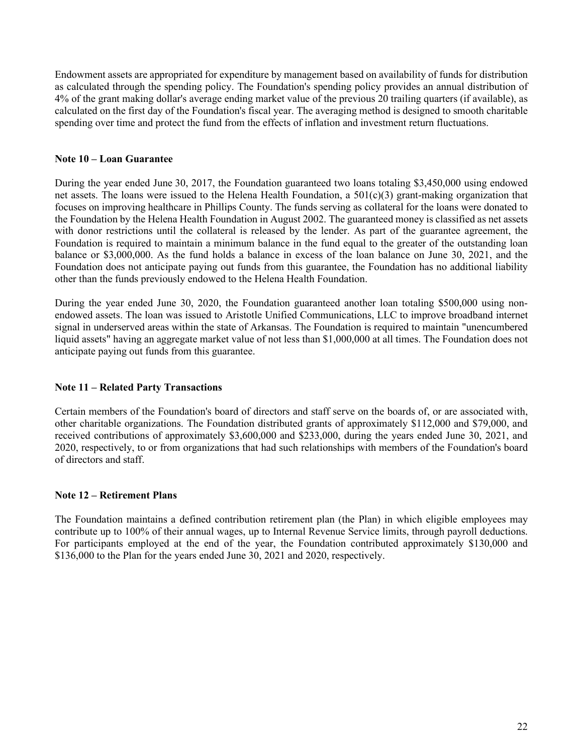Endowment assets are appropriated for expenditure by management based on availability of funds for distribution as calculated through the spending policy. The Foundation's spending policy provides an annual distribution of 4% of the grant making dollar's average ending market value of the previous 20 trailing quarters (if available), as calculated on the first day of the Foundation's fiscal year. The averaging method is designed to smooth charitable spending over time and protect the fund from the effects of inflation and investment return fluctuations.

## **Note 10 – Loan Guarantee**

During the year ended June 30, 2017, the Foundation guaranteed two loans totaling \$3,450,000 using endowed net assets. The loans were issued to the Helena Health Foundation, a  $501(c)(3)$  grant-making organization that focuses on improving healthcare in Phillips County. The funds serving as collateral for the loans were donated to the Foundation by the Helena Health Foundation in August 2002. The guaranteed money is classified as net assets with donor restrictions until the collateral is released by the lender. As part of the guarantee agreement, the Foundation is required to maintain a minimum balance in the fund equal to the greater of the outstanding loan balance or \$3,000,000. As the fund holds a balance in excess of the loan balance on June 30, 2021, and the Foundation does not anticipate paying out funds from this guarantee, the Foundation has no additional liability other than the funds previously endowed to the Helena Health Foundation.

During the year ended June 30, 2020, the Foundation guaranteed another loan totaling \$500,000 using nonendowed assets. The loan was issued to Aristotle Unified Communications, LLC to improve broadband internet signal in underserved areas within the state of Arkansas. The Foundation is required to maintain "unencumbered liquid assets" having an aggregate market value of not less than \$1,000,000 at all times. The Foundation does not anticipate paying out funds from this guarantee.

## **Note 11 – Related Party Transactions**

Certain members of the Foundation's board of directors and staff serve on the boards of, or are associated with, other charitable organizations. The Foundation distributed grants of approximately \$112,000 and \$79,000, and received contributions of approximately \$3,600,000 and \$233,000, during the years ended June 30, 2021, and 2020, respectively, to or from organizations that had such relationships with members of the Foundation's board of directors and staff.

## **Note 12 – Retirement Plans**

The Foundation maintains a defined contribution retirement plan (the Plan) in which eligible employees may contribute up to 100% of their annual wages, up to Internal Revenue Service limits, through payroll deductions. For participants employed at the end of the year, the Foundation contributed approximately \$130,000 and \$136,000 to the Plan for the years ended June 30, 2021 and 2020, respectively.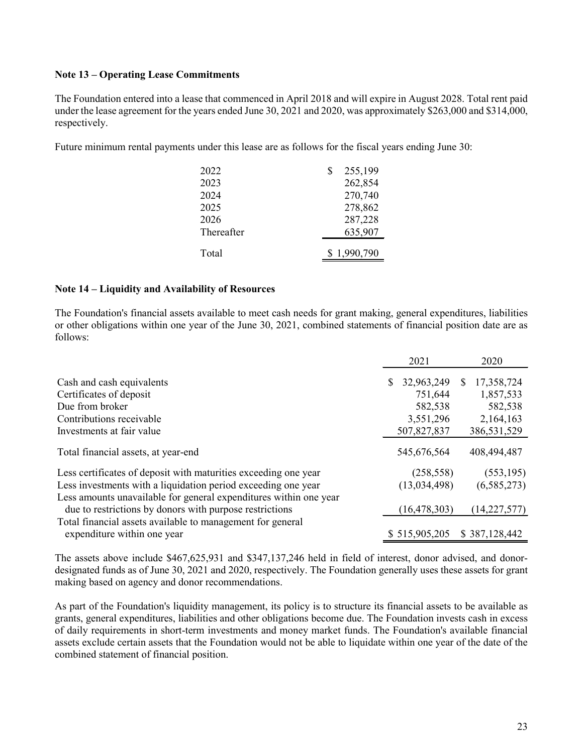### **Note 13 – Operating Lease Commitments**

The Foundation entered into a lease that commenced in April 2018 and will expire in August 2028. Total rent paid under the lease agreement for the years ended June 30, 2021 and 2020, was approximately \$263,000 and \$314,000, respectively.

Future minimum rental payments under this lease are as follows for the fiscal years ending June 30:

| 2022       | 255,199     |
|------------|-------------|
| 2023       | 262,854     |
| 2024       | 270,740     |
| 2025       | 278,862     |
| 2026       | 287,228     |
| Thereafter | 635,907     |
| Total      | \$1,990,790 |

#### **Note 14 – Liquidity and Availability of Resources**

The Foundation's financial assets available to meet cash needs for grant making, general expenditures, liabilities or other obligations within one year of the June 30, 2021, combined statements of financial position date are as follows:

|                                                                   | 2021           |            | 2020            |  |
|-------------------------------------------------------------------|----------------|------------|-----------------|--|
| Cash and cash equivalents                                         | 32,963,249     |            | 17,358,724<br>S |  |
| Certificates of deposit                                           |                | 751,644    | 1,857,533       |  |
| Due from broker                                                   |                | 582,538    | 582,538         |  |
| Contributions receivable                                          |                | 3,551,296  | 2,164,163       |  |
| Investments at fair value                                         | 507,827,837    |            | 386,531,529     |  |
| Total financial assets, at year-end                               | 545,676,564    |            | 408,494,487     |  |
| Less certificates of deposit with maturities exceeding one year   |                | (258, 558) | (553, 195)      |  |
| Less investments with a liquidation period exceeding one year     | (13,034,498)   |            | (6,585,273)     |  |
| Less amounts unavailable for general expenditures within one year |                |            |                 |  |
| due to restrictions by donors with purpose restrictions           | (16, 478, 303) |            | (14, 227, 577)  |  |
| Total financial assets available to management for general        |                |            |                 |  |
| expenditure within one year                                       | \$515,905,205  |            | \$387,128,442   |  |

The assets above include \$467,625,931 and \$347,137,246 held in field of interest, donor advised, and donordesignated funds as of June 30, 2021 and 2020, respectively. The Foundation generally uses these assets for grant making based on agency and donor recommendations.

As part of the Foundation's liquidity management, its policy is to structure its financial assets to be available as grants, general expenditures, liabilities and other obligations become due. The Foundation invests cash in excess of daily requirements in short-term investments and money market funds. The Foundation's available financial assets exclude certain assets that the Foundation would not be able to liquidate within one year of the date of the combined statement of financial position.